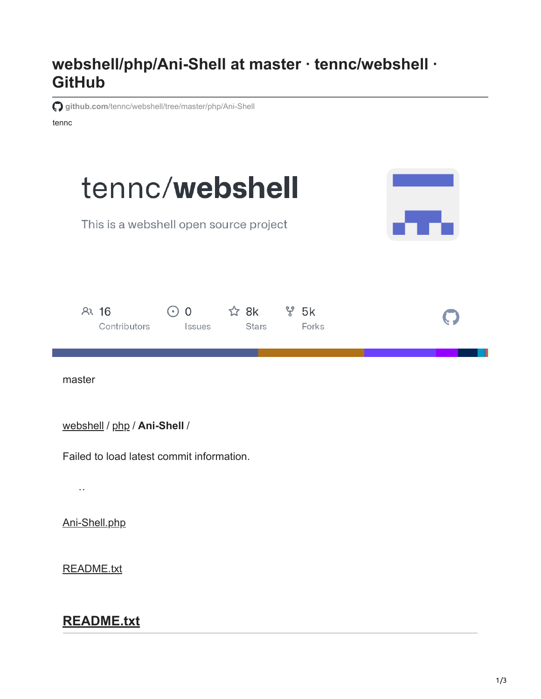## **webshell/php/Ani-Shell at master · tennc/webshell · GitHub**

**github.com**[/tennc/webshell/tree/master/php/Ani-Shell](https://github.com/tennc/webshell/tree/master/php/Ani-Shell)

tennc

| tennc/webshell<br>This is a webshell open source project                                                   |  |
|------------------------------------------------------------------------------------------------------------|--|
| ☆ 8k<br>$\frac{1}{6}$ 5k<br>$R3$ 16<br>$\odot$ 0<br>Forks<br>Contributors<br><b>Stars</b><br><b>Issues</b> |  |
| master                                                                                                     |  |
| webshell / php / Ani-Shell /                                                                               |  |
| Failed to load latest commit information.                                                                  |  |
| $\sim$                                                                                                     |  |
| Ani-Shell.php                                                                                              |  |
| <b>README.txt</b>                                                                                          |  |

## **README.txt**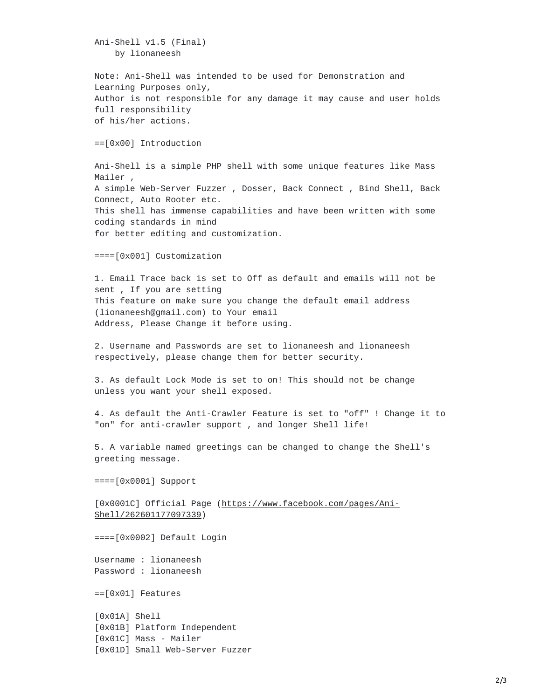Ani-Shell v1.5 (Final) by lionaneesh

Note: Ani-Shell was intended to be used for Demonstration and Learning Purposes only, Author is not responsible for any damage it may cause and user holds full responsibility of his/her actions.

==[0x00] Introduction

Ani-Shell is a simple PHP shell with some unique features like Mass Mailer , A simple Web-Server Fuzzer , Dosser, Back Connect , Bind Shell, Back Connect, Auto Rooter etc. This shell has immense capabilities and have been written with some coding standards in mind for better editing and customization.

====[0x001] Customization

1. Email Trace back is set to Off as default and emails will not be sent , If you are setting This feature on make sure you change the default email address (lionaneesh@gmail.com) to Your email Address, Please Change it before using.

2. Username and Passwords are set to lionaneesh and lionaneesh respectively, please change them for better security.

3. As default Lock Mode is set to on! This should not be change unless you want your shell exposed.

4. As default the Anti-Crawler Feature is set to "off" ! Change it to "on" for anti-crawler support , and longer Shell life!

5. A variable named greetings can be changed to change the Shell's greeting message.

====[0x0001] Support

[0x0001C] Official Page [\(https://www.facebook.com/pages/Ani-](https://www.facebook.com/pages/Ani-Shell/262601177097339)Shell/262601177097339)

====[0x0002] Default Login

Username : lionaneesh Password : lionaneesh

==[0x01] Features

[0x01A] Shell [0x01B] Platform Independent [0x01C] Mass - Mailer [0x01D] Small Web-Server Fuzzer